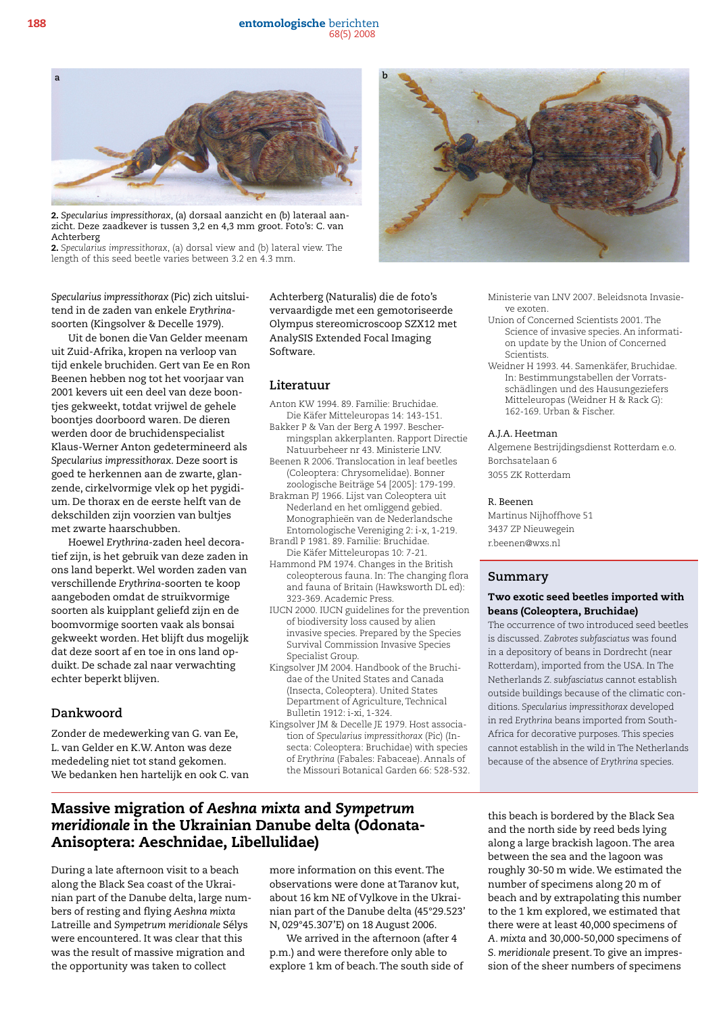188 entomologische berichten 68(5) 2008



2. *Specularius impressithorax*, (a) dorsaal aanzicht en (b) lateraal aanzicht. Deze zaadkever is tussen 3,2 en 4,3 mm groot. Foto's: C. van Achterberg

2. *Specularius impressithorax*, (a) dorsal view and (b) lateral view. The length of this seed beetle varies between 3.2 en 4.3 mm.



ve exoten.

Scientists.

A.J.A. Heetman

Borchsatelaan 6 3055 ZK Rotterdam

Martinus Nijhoffhove 51 3437 ZP Nieuwegein r.beenen@wxs.nl

R. Beenen

**Summary**

Ministerie van LNV 2007. Beleidsnota Invasie-

Weidner H 1993. 44. Samenkäfer, Bruchidae. In: Bestimmungstabellen der Vorratsschädlingen und des Hausungeziefers Mitteleuropas (Weidner H & Rack G):

Algemene Bestrijdingsdienst Rotterdam e.o.

Two exotic seed beetles imported with

The occurrence of two introduced seed beetles is discussed. *Zabrotes subfasciatus* was found in a depository of beans in Dordrecht (near Rotterdam), imported from the USA. In The Netherlands *Z. subfasciatus* cannot establish outside buildings because of the climatic conditions. *Specularius impressithorax* developed in red *Erythrina* beans imported from South-Africa for decorative purposes. This species cannot establish in the wild in The Netherlands because of the absence of *Erythrina* species.

beans (Coleoptera, Bruchidae)

162-169. Urban & Fischer.

Union of Concerned Scientists 2001. The Science of invasive species. An information update by the Union of Concerned

*Specularius impressithorax* (Pic) zich uitsluitend in de zaden van enkele *Erythrina*soorten (Kingsolver & Decelle 1979).

Uit de bonen die Van Gelder meenam uit Zuid-Afrika, kropen na verloop van tijd enkele bruchiden. Gert van Ee en Ron Beenen hebben nog tot het voorjaar van 2001 kevers uit een deel van deze boontjes gekweekt, totdat vrijwel de gehele boontjes doorboord waren. De dieren werden door de bruchidenspecialist Klaus-Werner Anton gedetermineerd als *Specularius impressithorax*. Deze soort is goed te herkennen aan de zwarte, glanzende, cirkelvormige vlek op het pygidium. De thorax en de eerste helft van de dekschilden zijn voorzien van bultjes met zwarte haarschubben.

Hoewel *Erythrina*-zaden heel decoratief zijn, is het gebruik van deze zaden in ons land beperkt. Wel worden zaden van verschillende *Erythrina*-soorten te koop aangeboden omdat de struikvormige soorten als kuipplant geliefd zijn en de boomvormige soorten vaak als bonsai gekweekt worden. Het blijft dus mogelijk dat deze soort af en toe in ons land opduikt. De schade zal naar verwachting echter beperkt blijven.

## **Dankwoord**

Zonder de medewerking van G. van Ee, L. van Gelder en K.W. Anton was deze mededeling niet tot stand gekomen. We bedanken hen hartelijk en ook C. van Achterberg (Naturalis) die de foto's vervaardigde met een gemotoriseerde Olympus stereomicroscoop SZX12 met AnalySIS Extended Focal Imaging Software.

#### **Literatuur**

- Anton KW 1994. 89. Familie: Bruchidae. Die Käfer Mitteleuropas 14: 143-151.
- Bakker P & Van der Berg A 1997. Beschermingsplan akkerplanten. Rapport Directie Natuurbeheer nr 43. Ministerie LNV.
- Beenen R 2006. Translocation in leaf beetles (Coleoptera: Chrysomelidae). Bonner zoologische Beiträge 54 [2005]: 179-199.
- Brakman PJ 1966. Lijst van Coleoptera uit Nederland en het omliggend gebied. Monographieën van de Nederlandsche Entomologische Vereniging 2: i-x, 1-219.
- Brandl P 1981. 89. Familie: Bruchidae. Die Käfer Mitteleuropas 10: 7-21.
- Hammond PM 1974. Changes in the British coleopterous fauna. In: The changing flora and fauna of Britain (Hawksworth DL ed): 323-369. Academic Press.
- IUCN 2000. IUCN guidelines for the prevention of biodiversity loss caused by alien invasive species. Prepared by the Species Survival Commission Invasive Species Specialist Group.
- Kingsolver JM 2004. Handbook of the Bruchidae of the United States and Canada (Insecta, Coleoptera). United States Department of Agriculture, Technical Bulletin 1912: i-xi, 1-324.
- Kingsolver JM & Decelle JE 1979. Host association of *Specularius impressithorax* (Pic) (Insecta: Coleoptera: Bruchidae) with species of *Erythrina* (Fabales: Fabaceae). Annals of the Missouri Botanical Garden 66: 528-532.

# Massive migration of *Aeshna mixta* and *Sympetrum meridionale* in the Ukrainian Danube delta (Odonata-Anisoptera: Aeschnidae, Libellulidae)

During a late afternoon visit to a beach along the Black Sea coast of the Ukrainian part of the Danube delta, large numbers of resting and flying *Aeshna mixta* Latreille and *Sympetrum meridionale* Sélys were encountered. It was clear that this was the result of massive migration and the opportunity was taken to collect

more information on this event. The observations were done at Taranov kut, about 16 km NE of Vylkove in the Ukrainian part of the Danube delta (45°29.523' N, 029°45.307'E) on 18 August 2006.

We arrived in the afternoon (after 4 p.m.) and were therefore only able to explore 1 km of beach. The south side of this beach is bordered by the Black Sea and the north side by reed beds lying along a large brackish lagoon. The area between the sea and the lagoon was roughly 30-50 m wide. We estimated the number of specimens along 20 m of beach and by extrapolating this number to the 1 km explored, we estimated that there were at least 40,000 specimens of *A. mixta* and 30,000-50,000 specimens of *S. meridionale* present. To give an impression of the sheer numbers of specimens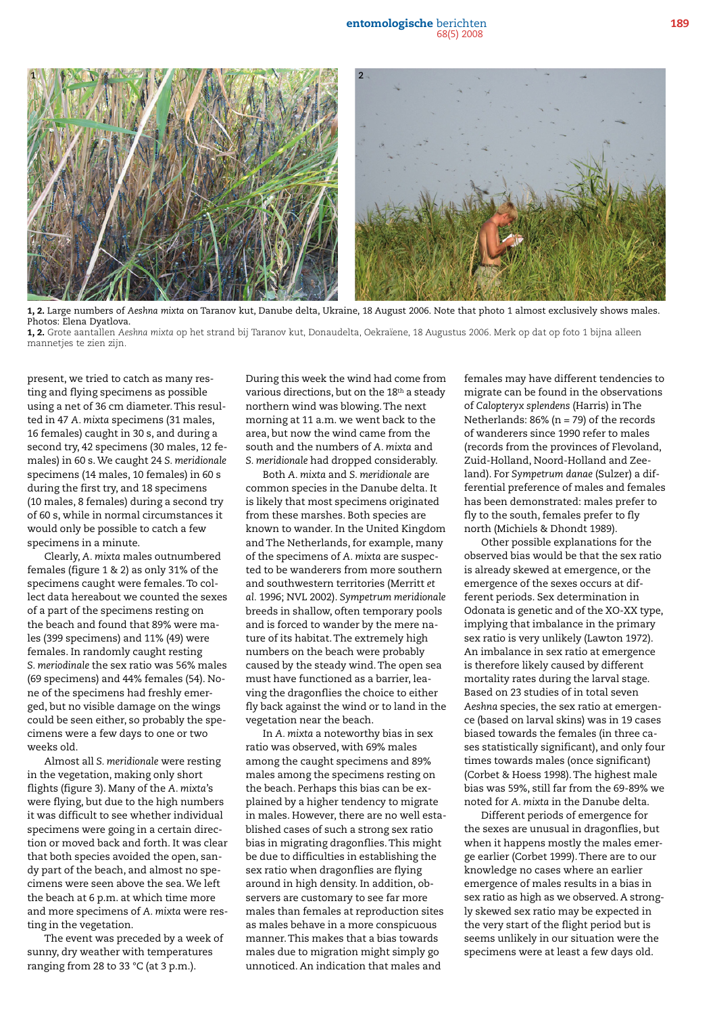

1, 2. Large numbers of *Aeshna mixta* on Taranov kut, Danube delta, Ukraine, 18 August 2006. Note that photo 1 almost exclusively shows males. Photos: Elena Dyatlova.

1, 2. Grote aantallen *Aeshna mixta* op het strand bij Taranov kut, Donaudelta, Oekraïene, 18 Augustus 2006. Merk op dat op foto 1 bijna alleen mannetjes te zien zijn.

present, we tried to catch as many resting and flying specimens as possible using a net of 36 cm diameter. This resulted in 47 *A. mixta* specimens (31 males, 16 females) caught in 30 s, and during a second try, 42 specimens (30 males, 12 females) in 60 s. We caught 24 *S. meridionale* specimens (14 males, 10 females) in 60 s during the first try, and 18 specimens (10 males, 8 females) during a second try of 60 s, while in normal circumstances it would only be possible to catch a few specimens in a minute.

Clearly, *A. mixta* males outnumbered females (figure 1 & 2) as only 31% of the specimens caught were females. To collect data hereabout we counted the sexes of a part of the specimens resting on the beach and found that 89% were males (399 specimens) and 11% (49) were females. In randomly caught resting *S. meriodinale* the sex ratio was 56% males (69 specimens) and 44% females (54). None of the specimens had freshly emerged, but no visible damage on the wings could be seen either, so probably the specimens were a few days to one or two weeks old.

Almost all *S. meridionale* were resting in the vegetation, making only short flights (figure 3). Many of the *A. mixta*'s were flying, but due to the high numbers it was difficult to see whether individual specimens were going in a certain direction or moved back and forth. It was clear that both species avoided the open, sandy part of the beach, and almost no specimens were seen above the sea. We left the beach at 6 p.m. at which time more and more specimens of *A. mixta* were resting in the vegetation.

The event was preceded by a week of sunny, dry weather with temperatures ranging from 28 to 33 °C (at 3 p.m.).

During this week the wind had come from various directions, but on the 18<sup>th</sup> a steady northern wind was blowing. The next morning at 11 a.m. we went back to the area, but now the wind came from the south and the numbers of *A. mixta* and *S. meridionale* had dropped considerably.

Both *A. mixta* and *S. meridionale* are common species in the Danube delta. It is likely that most specimens originated from these marshes. Both species are known to wander. In the United Kingdom and The Netherlands, for example, many of the specimens of *A. mixta* are suspected to be wanderers from more southern and southwestern territories (Merritt *et al.* 1996; NVL 2002). *Sympetrum meridionale* breeds in shallow, often temporary pools and is forced to wander by the mere nature of its habitat. The extremely high numbers on the beach were probably caused by the steady wind. The open sea must have functioned as a barrier, leaving the dragonflies the choice to either fly back against the wind or to land in the vegetation near the beach.

In *A. mixta* a noteworthy bias in sex ratio was observed, with 69% males among the caught specimens and 89% males among the specimens resting on the beach. Perhaps this bias can be explained by a higher tendency to migrate in males. However, there are no well established cases of such a strong sex ratio bias in migrating dragonflies. This might be due to difficulties in establishing the sex ratio when dragonflies are flying around in high density. In addition, observers are customary to see far more males than females at reproduction sites as males behave in a more conspicuous manner. This makes that a bias towards males due to migration might simply go unnoticed. An indication that males and

females may have different tendencies to migrate can be found in the observations of *Calopteryx splendens* (Harris) in The Netherlands: 86% (n = 79) of the records of wanderers since 1990 refer to males (records from the provinces of Flevoland, Zuid-Holland, Noord-Holland and Zeeland). For *Sympetrum danae* (Sulzer) a differential preference of males and females has been demonstrated: males prefer to fly to the south, females prefer to fly north (Michiels & Dhondt 1989).

Other possible explanations for the observed bias would be that the sex ratio is already skewed at emergence, or the emergence of the sexes occurs at different periods. Sex determination in Odonata is genetic and of the XO-XX type, implying that imbalance in the primary sex ratio is very unlikely (Lawton 1972). An imbalance in sex ratio at emergence is therefore likely caused by different mortality rates during the larval stage. Based on 23 studies of in total seven *Aeshna* species, the sex ratio at emergence (based on larval skins) was in 19 cases biased towards the females (in three cases statistically significant), and only four times towards males (once significant) (Corbet & Hoess 1998). The highest male bias was 59%, still far from the 69-89% we noted for *A. mixta* in the Danube delta.

Different periods of emergence for the sexes are unusual in dragonflies, but when it happens mostly the males emerge earlier (Corbet 1999). There are to our knowledge no cases where an earlier emergence of males results in a bias in sex ratio as high as we observed. A strongly skewed sex ratio may be expected in the very start of the flight period but is seems unlikely in our situation were the specimens were at least a few days old.